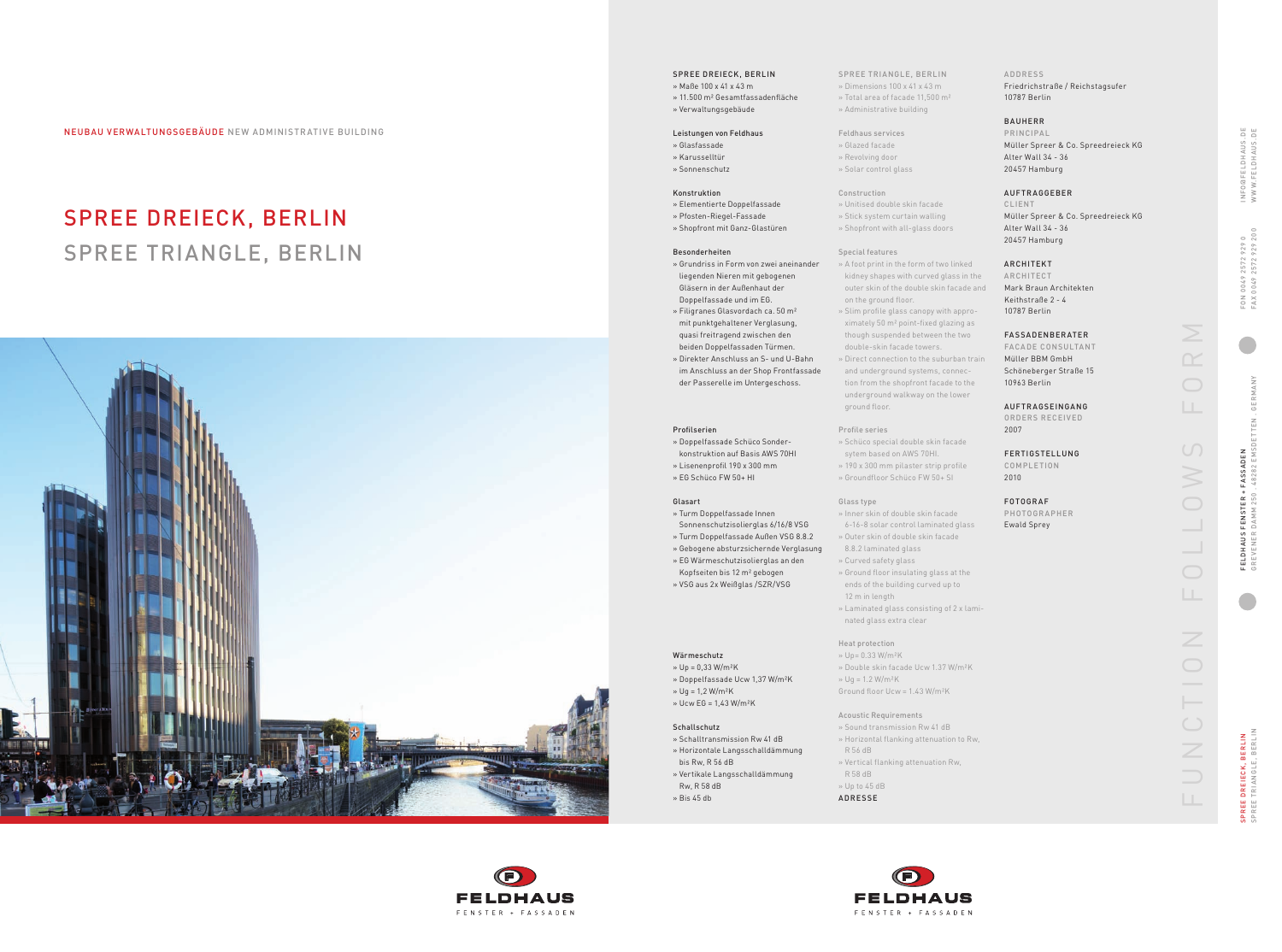SPREE TRIANGLE, BERLIN PREE DREIECK, BERLIN<br>PREE TRIANGLE, BERLIN SPREE DREIECK, BERLIN

FU NCTIO N  FO L LOW S  FORM  $\cup$  $\bigcirc$  $\bigcirc$  $\overline{Z}$  $\bigcirc$  $\bigcirc$  $\overline{Z}$ 

INFo @FELDhAuS.DE www.FELDhAuS.DE INFO@FELDHAUS.D<br>WWW.FELDHAUS.D 25729290<br>2572929200 FA x 0049 2572 929 200 FoN 0049 2572 929 0 00492<br>00492 FON<br>FAX GREvENER DAmm 250 . 48282 EmSDETTEN . GERmA Ny FELDHAUS FENSTER + FASSADEN<br>GREVENER DAMM 250 . 48282 EMS FELDhAuS FENSTER + FASSADEN

 $\begin{array}{c} \square \qquad \square \\ \square \qquad \square \end{array}$ 

# SPREE DREIECK, BERLIN SPREE TRIANGLE, BERLIN





#### SPREE DREIECK, BERLIN

» Maße 100 x 41 x 43 m »  11.500 m² Gesamtfassadenfläche

» Verwaltungsgebäude

#### Leistungen von Feldhaus

- »  Glasfassade » Karusselltür
- » Sonnenschutz

#### Konstruktion

- »  Elementierte Doppelfassade
- »  Pfosten-Riegel-Fassade » Shopfront mit Ganz-Glastüren
- 

#### Besonderheiten

- »  Grundriss in Form von zwei aneinander liegenden Nieren mit gebogenen Gläsern in der Außenhaut der Doppelfassade und im EG.
- »  Filigranes Glasvordach ca. 50 m² mit punktgehaltener Verglasung,
- quasi freitragend zwischen den beiden Doppelfassaden Türmen.
- »  Direkter Anschluss an S- und U-Bahn im Anschluss an der Shop Frontfassade der Passerelle im Untergeschoss.

#### Profilserien

- »  Doppelfassade Schüco Sonder-
- konstruktion auf Basis AWS 70HI
- »  Lisenenprofil 190 x 300 mm »  EG Schüco FW 50+ HI
- 

#### Glasart

- »  Turm Doppelfassade Innen
- Sonnenschutzisolierglas 6/16/8 VSG »  Turm Doppelfassade Außen VSG 8.8.2
- »  Gebogene absturzsichernde Verglasung
- »  EG Wärmeschutzisolierglas an den
- Kopfseiten bis 12 m² gebogen
- »  VSG aus 2x Weißglas /SZR/VSG

#### wärmeschutz

- »  Up = 0,33 W/m²K
- »  Doppelfassade Ucw 1,37 W/m²K
- »  Ug = 1,2 W/m²K
- »  Ucw EG = 1,43 W/m²K

#### Schallschutz

- »  Schalltransmission Rw 41 dB
- »  Horizontale Langsschalldämmung
- bis Rw, R 56 dB »  Vertikale Langsschalldämmung
- Rw, R 58 dB
- »  Bis 45 db

**PRINCIPAL** Müller Spreer & Co. Spreedreieck KG Alter Wall 34 - 36 20457 Hamburg

#### SPREE TRIANGLE, BERLIN »  Dimensions 100 x 41 x 43 m » Total area of facade 11,500 m²

ARCHITECT Mark Braun Architekten Keithstraße 2 - 4 10787 Berlin

FACADE CONSULTANT Müller BBM GmbH Schöneberger Straße 15 10963 Berlin

- » Administrative building
- Feldhaus services » Glazed facade
- » Revolving door » Solar control glass
- 
- Construction » Unitised double skin facade
- » Stick system curtain walling » Shopfront with all-glass doors

**COMPLETION** 2010

PHOTOGRAPHER Ewald Sprey

#### Special features

- »  A foot print in the form of two linked kidney shapes with curved glass in the outer skin of the double skin facade and on the ground floor.
- »  Slim profile glass canopy with appro ximately 50 m² point-fixed glazing as
- though suspended between the two double-skin facade towers.
- »  Direct connection to the suburban train and underground systems, connec tion from the shopfront facade to the underground walkway on the lower ground floor.

- Profile series »  Schüco special double skin facade
- sytem based on AWS 70HI.
- » 190 x 300 mm pilaster strip profile
- 

# » Groundfloor Schüco FW 50+ SI

- 
- 

#### Glass type

- »  Inner skin of double skin facade
- 6-16-8 solar control laminated glass
- »  Outer skin of double skin facade 8.8.2 laminated glass
- »  Curved safety glass
- »  Ground floor insulating glass at the
- 
- »  Laminated glass consisting of 2 x lami nated glass extra clear
- ends of the building curved up to
- 12 m in length
- 

### heat protection

- » Up= 0.33 W/m²K
- 
- 
- 
- » Double skin facade Ucw 1.37 W/m²K
- » Ug = 1.2 W/m²K
- Ground floor Ucw = 1.43 W/m²K

## Acoustic Requirements

## » Sound transmission Rw 41 dB

- »  Horizontal flanking attenuation to Rw,
- »  Vertical flanking attenuation Rw,
- R 58 dB
- » Up to 45 dB
- 



- R 56 dB
- 
- 
- ADRESSE





#### A D DRESS

Friedrichstraße / Reichstagsufer 10787 Berlin

#### BAuhERR

#### AuFTRAGGEBER

CLIENT Müller Spreer & Co. Spreedreieck KG Alter Wall 34 - 36 20457 Hamburg

#### ARCHITEKT

#### FASSADEN BERATER

#### AuFTRAGSEINGANG oRDERS RECEIvED 2007

FERTIGSTELLUNG

### FoT oGRAF